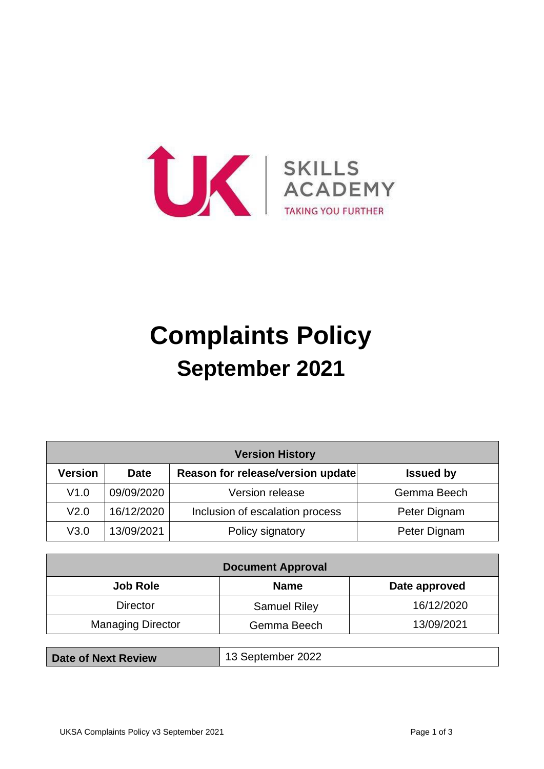

# **Complaints Policy September 2021**

| <b>Version History</b> |             |                                   |                  |  |
|------------------------|-------------|-----------------------------------|------------------|--|
| <b>Version</b>         | <b>Date</b> | Reason for release/version update | <b>Issued by</b> |  |
| V1.0                   | 09/09/2020  | Version release                   | Gemma Beech      |  |
| V <sub>2.0</sub>       | 16/12/2020  | Inclusion of escalation process   | Peter Dignam     |  |
| V3.0                   | 13/09/2021  | Policy signatory                  | Peter Dignam     |  |

| <b>Document Approval</b> |                     |               |  |  |
|--------------------------|---------------------|---------------|--|--|
| <b>Job Role</b>          | <b>Name</b>         | Date approved |  |  |
| <b>Director</b>          | <b>Samuel Riley</b> | 16/12/2020    |  |  |
| <b>Managing Director</b> | Gemma Beech         | 13/09/2021    |  |  |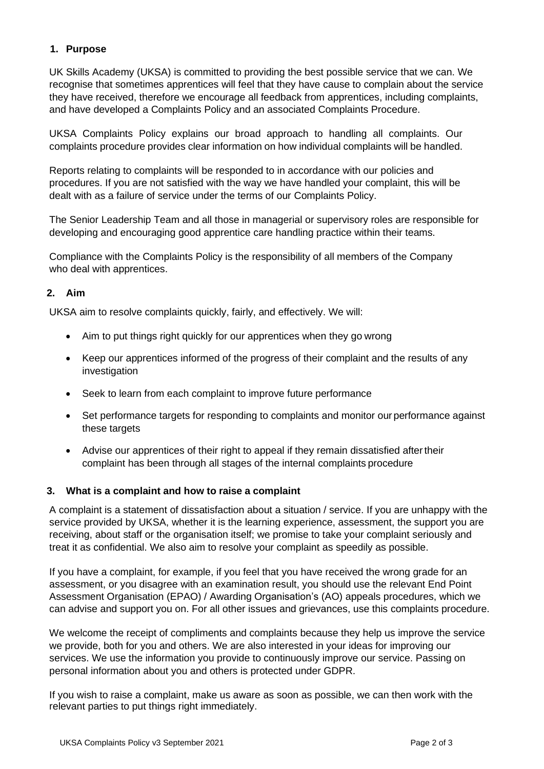## **1. Purpose**

UK Skills Academy (UKSA) is committed to providing the best possible service that we can. We recognise that sometimes apprentices will feel that they have cause to complain about the service they have received, therefore we encourage all feedback from apprentices, including complaints, and have developed a Complaints Policy and an associated Complaints Procedure.

UKSA Complaints Policy explains our broad approach to handling all complaints. Our complaints procedure provides clear information on how individual complaints will be handled.

Reports relating to complaints will be responded to in accordance with our policies and procedures. If you are not satisfied with the way we have handled your complaint, this will be dealt with as a failure of service under the terms of our Complaints Policy.

The Senior Leadership Team and all those in managerial or supervisory roles are responsible for developing and encouraging good apprentice care handling practice within their teams.

Compliance with the Complaints Policy is the responsibility of all members of the Company who deal with apprentices.

## **2. Aim**

UKSA aim to resolve complaints quickly, fairly, and effectively. We will:

- Aim to put things right quickly for our apprentices when they go wrong
- Keep our apprentices informed of the progress of their complaint and the results of any investigation
- Seek to learn from each complaint to improve future performance
- Set performance targets for responding to complaints and monitor our performance against these targets
- Advise our apprentices of their right to appeal if they remain dissatisfied aftertheir complaint has been through all stages of the internal complaints procedure

#### **3. What is a complaint and how to raise a complaint**

A complaint is a statement of dissatisfaction about a situation / service. If you are unhappy with the service provided by UKSA, whether it is the learning experience, assessment, the support you are receiving, about staff or the organisation itself; we promise to take your complaint seriously and treat it as confidential. We also aim to resolve your complaint as speedily as possible.

If you have a complaint, for example, if you feel that you have received the wrong grade for an assessment, or you disagree with an examination result, you should use the relevant End Point Assessment Organisation (EPAO) / Awarding Organisation's (AO) appeals procedures, which we can advise and support you on. For all other issues and grievances, use this complaints procedure.

We welcome the receipt of compliments and complaints because they help us improve the service we provide, both for you and others. We are also interested in your ideas for improving our services. We use the information you provide to continuously improve our service. Passing on personal information about you and others is protected under GDPR.

If you wish to raise a complaint, make us aware as soon as possible, we can then work with the relevant parties to put things right immediately.